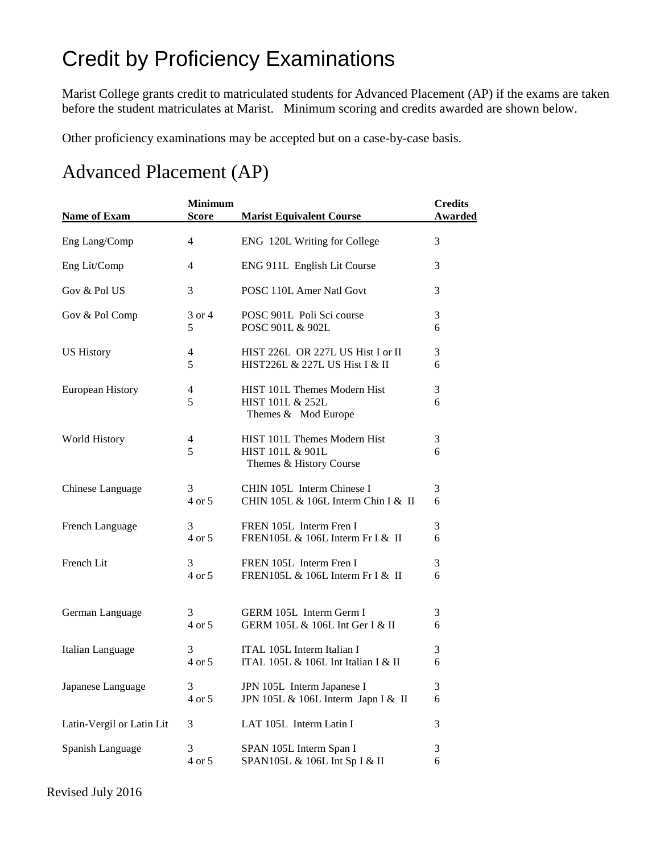## Credit by Proficiency Examinations

Marist College grants credit to matriculated students for Advanced Placement (AP) if the exams are taken before the student matriculates at Marist. Minimum scoring and credits awarded are shown below.

Other proficiency examinations may be accepted but on a case-by-case basis.

## Advanced Placement (AP)

| <b>Name of Exam</b>       | <b>Minimum</b><br><b>Score</b> | <b>Marist Equivalent Course</b>                                             | <b>Credits</b><br><b>Awarded</b> |
|---------------------------|--------------------------------|-----------------------------------------------------------------------------|----------------------------------|
| Eng Lang/Comp             | $\overline{4}$                 | ENG 120L Writing for College                                                | 3                                |
| Eng Lit/Comp              | $\overline{4}$                 | ENG 911L English Lit Course                                                 | 3                                |
| Gov & Pol US              | 3                              | POSC 110L Amer Natl Govt                                                    | 3                                |
| Gov & Pol Comp            | 3 or 4                         | POSC 901L Poli Sci course                                                   | 3                                |
|                           | 5                              | POSC 901L & 902L                                                            | 6                                |
| <b>US History</b>         | $\overline{\mathcal{A}}$       | HIST 226L OR 227L US Hist I or II                                           | 3                                |
|                           | 5                              | HIST226L & 227L US Hist I & II                                              | 6                                |
| European History          | 4<br>5                         | HIST 101L Themes Modern Hist<br>HIST 101L & 252L<br>Themes & Mod Europe     | 3<br>6                           |
| <b>World History</b>      | 4<br>5                         | HIST 101L Themes Modern Hist<br>HIST 101L & 901L<br>Themes & History Course | 3<br>6                           |
| Chinese Language          | 3                              | CHIN 105L Interm Chinese I                                                  | 3                                |
|                           | 4 or 5                         | CHIN 105L & 106L Interm Chin I & II                                         | 6                                |
| French Language           | 3                              | FREN 105L Interm Fren I                                                     | 3                                |
|                           | 4 or 5                         | FREN105L & 106L Interm Fr I & II                                            | 6                                |
| French Lit                | 3                              | FREN 105L Interm Fren I                                                     | 3                                |
|                           | 4 or 5                         | FREN105L & 106L Interm Fr I & II                                            | 6                                |
| German Language           | 3                              | GERM 105L Interm Germ I                                                     | 3                                |
|                           | 4 or 5                         | GERM 105L & 106L Int Ger I & II                                             | 6                                |
| Italian Language          | 3                              | ITAL 105L Interm Italian I                                                  | 3                                |
|                           | 4 or 5                         | ITAL 105L & 106L Int Italian I & II                                         | 6                                |
| Japanese Language         | 3                              | JPN 105L Interm Japanese I                                                  | 3                                |
|                           | 4 or 5                         | JPN 105L & 106L Interm Japn I & II                                          | 6                                |
| Latin-Vergil or Latin Lit | 3                              | LAT 105L Interm Latin I                                                     | 3                                |
| Spanish Language          | 3                              | SPAN 105L Interm Span I                                                     | 3                                |
|                           | 4 or 5                         | SPAN105L & 106L Int Sp I & II                                               | 6                                |

Revised July 2016